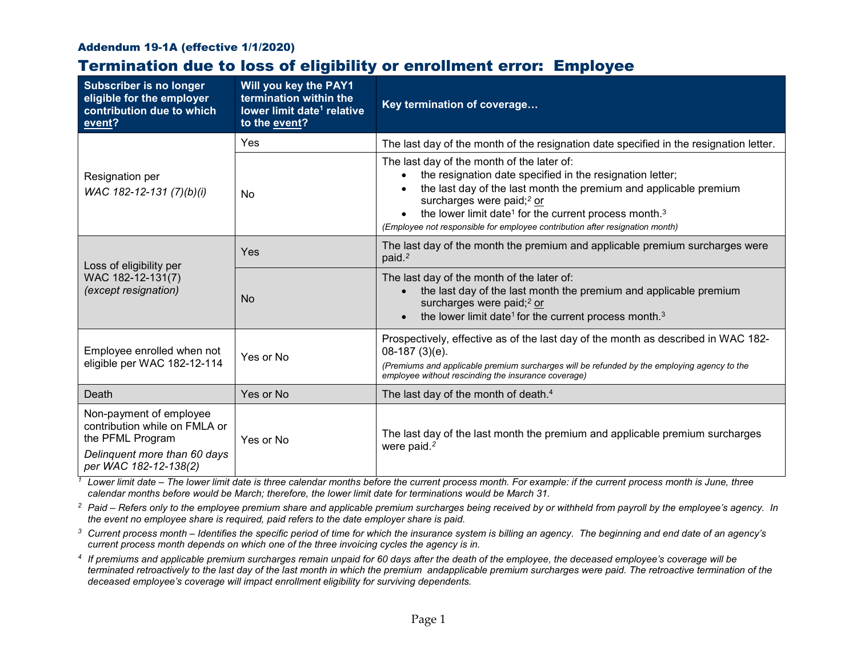## Addendum 19-1A (effective 1/1/2020)

## Termination due to loss of eligibility or enrollment error: Employee

| <b>Subscriber is no longer</b><br>eligible for the employer<br>contribution due to which<br>event?                                    | Will you key the PAY1<br>termination within the<br>lower limit date <sup>1</sup> relative<br>to the event? | Key termination of coverage                                                                                                                                                                                                                                                                                                                                                            |  |
|---------------------------------------------------------------------------------------------------------------------------------------|------------------------------------------------------------------------------------------------------------|----------------------------------------------------------------------------------------------------------------------------------------------------------------------------------------------------------------------------------------------------------------------------------------------------------------------------------------------------------------------------------------|--|
| Resignation per<br>WAC 182-12-131 (7)(b)(i)                                                                                           | <b>Yes</b>                                                                                                 | The last day of the month of the resignation date specified in the resignation letter.                                                                                                                                                                                                                                                                                                 |  |
|                                                                                                                                       | N <sub>o</sub>                                                                                             | The last day of the month of the later of:<br>the resignation date specified in the resignation letter;<br>the last day of the last month the premium and applicable premium<br>surcharges were paid; <sup>2</sup> or<br>the lower limit date <sup>1</sup> for the current process month. <sup>3</sup><br>(Employee not responsible for employee contribution after resignation month) |  |
| Loss of eligibility per<br>WAC 182-12-131(7)<br>(except resignation)                                                                  | Yes                                                                                                        | The last day of the month the premium and applicable premium surcharges were<br>paid. <sup>2</sup>                                                                                                                                                                                                                                                                                     |  |
|                                                                                                                                       | <b>No</b>                                                                                                  | The last day of the month of the later of:<br>the last day of the last month the premium and applicable premium<br>surcharges were paid; <sup>2</sup> or<br>the lower limit date <sup>1</sup> for the current process month. <sup>3</sup>                                                                                                                                              |  |
| Employee enrolled when not<br>eligible per WAC 182-12-114                                                                             | Yes or No                                                                                                  | Prospectively, effective as of the last day of the month as described in WAC 182-<br>$08-187(3)(e)$ .<br>(Premiums and applicable premium surcharges will be refunded by the employing agency to the<br>employee without rescinding the insurance coverage)                                                                                                                            |  |
| Death                                                                                                                                 | Yes or No                                                                                                  | The last day of the month of death. <sup>4</sup>                                                                                                                                                                                                                                                                                                                                       |  |
| Non-payment of employee<br>contribution while on FMLA or<br>the PFML Program<br>Delinquent more than 60 days<br>per WAC 182-12-138(2) | Yes or No                                                                                                  | The last day of the last month the premium and applicable premium surcharges<br>were paid. <sup>2</sup>                                                                                                                                                                                                                                                                                |  |

*<sup>1</sup> Lower limit date – The lower limit date is three calendar months before the current process month. For example: if the current process month is June, three calendar months before would be March; therefore, the lower limit date for terminations would be March 31.*

*<sup>2</sup> Paid – Refers only to the employee premium share and applicable premium surcharges being received by or withheld from payroll by the employee's agency. In the event no employee share is required, paid refers to the date employer share is paid.*

*<sup>3</sup> Current process month – Identifies the specific period of time for which the insurance system is billing an agency. The beginning and end date of an agency's current process month depends on which one of the three invoicing cycles the agency is in.*

*<sup>4</sup> If premiums and applicable premium surcharges remain unpaid for 60 days after the death of the employee, the deceased employee's coverage will be terminated retroactively to the last day of the last month in which the premium andapplicable premium surcharges were paid. The retroactive termination of the deceased employee's coverage will impact enrollment eligibility for surviving dependents.*